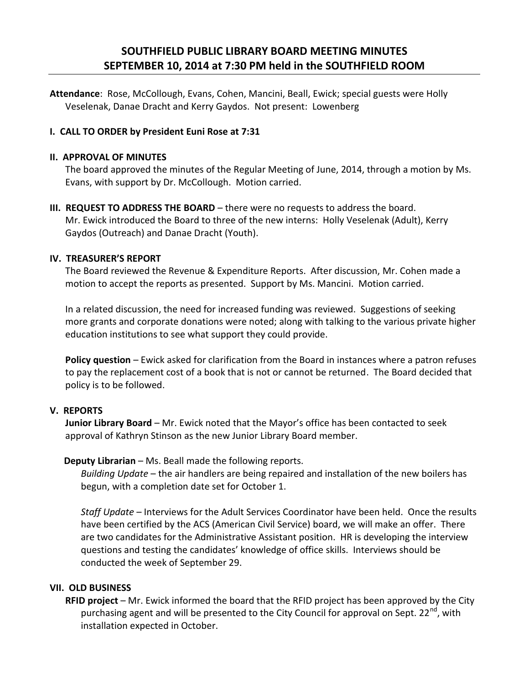# **SOUTHFIELD PUBLIC LIBRARY BOARD MEETING MINUTES SEPTEMBER 10, 2014 at 7:30 PM held in the SOUTHFIELD ROOM**

**Attendance**: Rose, McCollough, Evans, Cohen, Mancini, Beall, Ewick; special guests were Holly Veselenak, Danae Dracht and Kerry Gaydos. Not present: Lowenberg

# **I. CALL TO ORDER by President Euni Rose at 7:31**

#### **II. APPROVAL OF MINUTES**

The board approved the minutes of the Regular Meeting of June, 2014, through a motion by Ms. Evans, with support by Dr. McCollough. Motion carried.

**III. REQUEST TO ADDRESS THE BOARD** – there were no requests to address the board. Mr. Ewick introduced the Board to three of the new interns: Holly Veselenak (Adult), Kerry Gaydos (Outreach) and Danae Dracht (Youth).

#### **IV. TREASURER'S REPORT**

The Board reviewed the Revenue & Expenditure Reports. After discussion, Mr. Cohen made a motion to accept the reports as presented. Support by Ms. Mancini. Motion carried.

In a related discussion, the need for increased funding was reviewed. Suggestions of seeking more grants and corporate donations were noted; along with talking to the various private higher education institutions to see what support they could provide.

**Policy question** – Ewick asked for clarification from the Board in instances where a patron refuses to pay the replacement cost of a book that is not or cannot be returned. The Board decided that policy is to be followed.

### **V. REPORTS**

**Junior Library Board** – Mr. Ewick noted that the Mayor's office has been contacted to seek approval of Kathryn Stinson as the new Junior Library Board member.

### **Deputy Librarian** – Ms. Beall made the following reports.

*Building Update* – the air handlers are being repaired and installation of the new boilers has begun, with a completion date set for October 1.

*Staff Update* – Interviews for the Adult Services Coordinator have been held. Once the results have been certified by the ACS (American Civil Service) board, we will make an offer. There are two candidates for the Administrative Assistant position. HR is developing the interview questions and testing the candidates' knowledge of office skills. Interviews should be conducted the week of September 29.

### **VII. OLD BUSINESS**

**RFID project** – Mr. Ewick informed the board that the RFID project has been approved by the City purchasing agent and will be presented to the City Council for approval on Sept. 22<sup>nd</sup>, with installation expected in October.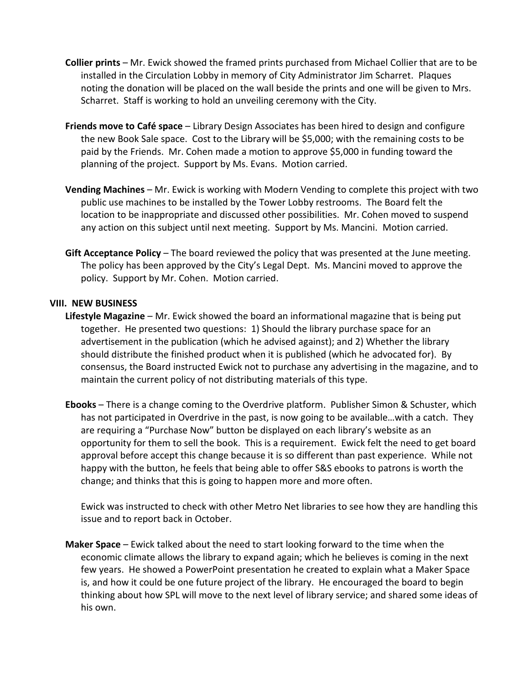- **Collier prints** Mr. Ewick showed the framed prints purchased from Michael Collier that are to be installed in the Circulation Lobby in memory of City Administrator Jim Scharret. Plaques noting the donation will be placed on the wall beside the prints and one will be given to Mrs. Scharret. Staff is working to hold an unveiling ceremony with the City.
- **Friends move to Café space** Library Design Associates has been hired to design and configure the new Book Sale space. Cost to the Library will be \$5,000; with the remaining costs to be paid by the Friends. Mr. Cohen made a motion to approve \$5,000 in funding toward the planning of the project. Support by Ms. Evans. Motion carried.
- **Vending Machines** Mr. Ewick is working with Modern Vending to complete this project with two public use machines to be installed by the Tower Lobby restrooms. The Board felt the location to be inappropriate and discussed other possibilities. Mr. Cohen moved to suspend any action on this subject until next meeting. Support by Ms. Mancini. Motion carried.
- **Gift Acceptance Policy** The board reviewed the policy that was presented at the June meeting. The policy has been approved by the City's Legal Dept. Ms. Mancini moved to approve the policy. Support by Mr. Cohen. Motion carried.

#### **VIII. NEW BUSINESS**

- **Lifestyle Magazine** Mr. Ewick showed the board an informational magazine that is being put together. He presented two questions: 1) Should the library purchase space for an advertisement in the publication (which he advised against); and 2) Whether the library should distribute the finished product when it is published (which he advocated for). By consensus, the Board instructed Ewick not to purchase any advertising in the magazine, and to maintain the current policy of not distributing materials of this type.
- **Ebooks** There is a change coming to the Overdrive platform. Publisher Simon & Schuster, which has not participated in Overdrive in the past, is now going to be available…with a catch. They are requiring a "Purchase Now" button be displayed on each library's website as an opportunity for them to sell the book. This is a requirement. Ewick felt the need to get board approval before accept this change because it is so different than past experience. While not happy with the button, he feels that being able to offer S&S ebooks to patrons is worth the change; and thinks that this is going to happen more and more often.

Ewick was instructed to check with other Metro Net libraries to see how they are handling this issue and to report back in October.

**Maker Space** – Ewick talked about the need to start looking forward to the time when the economic climate allows the library to expand again; which he believes is coming in the next few years. He showed a PowerPoint presentation he created to explain what a Maker Space is, and how it could be one future project of the library. He encouraged the board to begin thinking about how SPL will move to the next level of library service; and shared some ideas of his own.